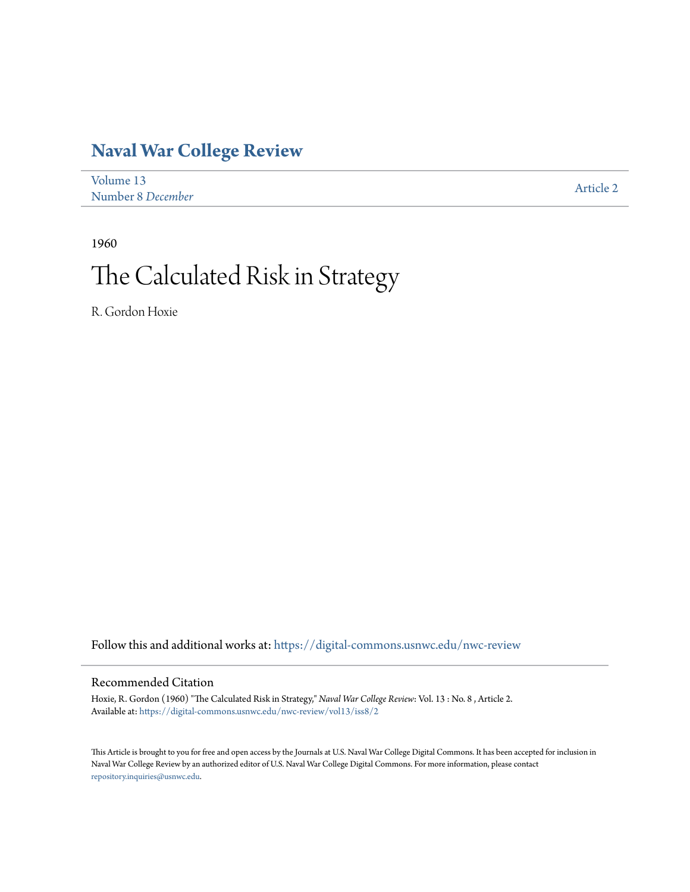# **[Naval War College Review](https://digital-commons.usnwc.edu/nwc-review?utm_source=digital-commons.usnwc.edu%2Fnwc-review%2Fvol13%2Fiss8%2F2&utm_medium=PDF&utm_campaign=PDFCoverPages)**

| Volume 13         | Article 2 |
|-------------------|-----------|
| Number 8 December |           |

1960

# The Calculated Risk in Strategy

R. Gordon Hoxie

Follow this and additional works at: [https://digital-commons.usnwc.edu/nwc-review](https://digital-commons.usnwc.edu/nwc-review?utm_source=digital-commons.usnwc.edu%2Fnwc-review%2Fvol13%2Fiss8%2F2&utm_medium=PDF&utm_campaign=PDFCoverPages)

# Recommended Citation

Hoxie, R. Gordon (1960) "The Calculated Risk in Strategy," *Naval War College Review*: Vol. 13 : No. 8 , Article 2. Available at: [https://digital-commons.usnwc.edu/nwc-review/vol13/iss8/2](https://digital-commons.usnwc.edu/nwc-review/vol13/iss8/2?utm_source=digital-commons.usnwc.edu%2Fnwc-review%2Fvol13%2Fiss8%2F2&utm_medium=PDF&utm_campaign=PDFCoverPages)

This Article is brought to you for free and open access by the Journals at U.S. Naval War College Digital Commons. It has been accepted for inclusion in Naval War College Review by an authorized editor of U.S. Naval War College Digital Commons. For more information, please contact [repository.inquiries@usnwc.edu](mailto:repository.inquiries@usnwc.edu).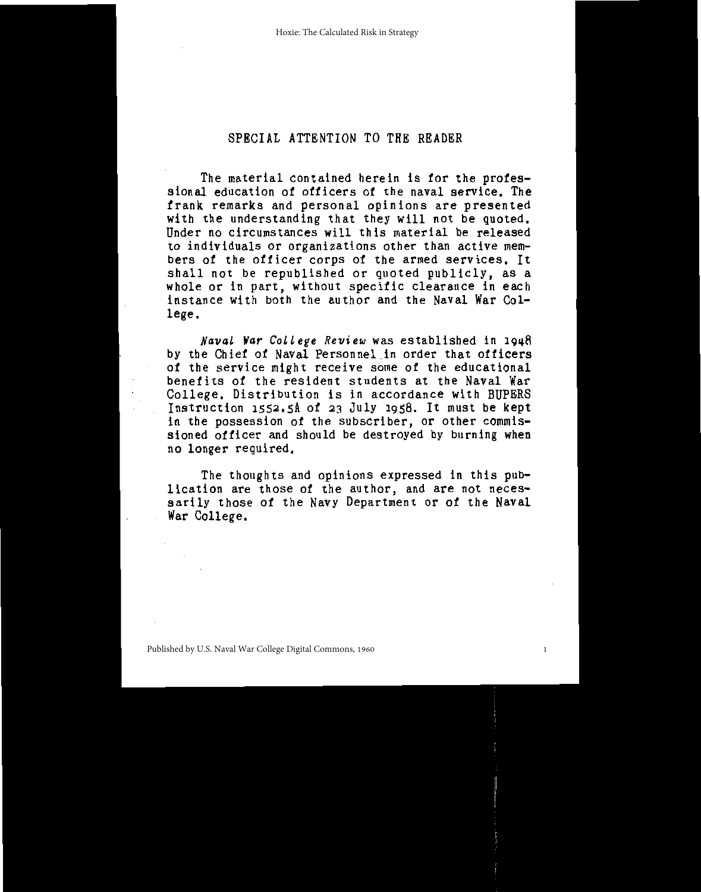# SPECIAL ATTENTION TO THE READER

The material contained herein is for the professional education of officers of the naval service. The frank remarks and personal opinions are presented<br>with the understanding that they will not be quoted. Under no circumstances will this material be released to individuals or organizations other than active members of the officer corps of the armed services. It shall not be republished or quoted publicly, as a whole or in part, without specific clearance in each<br>instance with both the author and the Naval War College.

Naval War College Review was established in 1948 by the Chief of Naval Personnel in order that officers of the service might receive some of the educational benefits of the resident students at the Naval War College. Distribution is in accordance with BUPERS Instruction 1552.5A of 23 July 1958. It must be kept in the possession of the subscriber, or other commis-<br>sioned officer and should be destroyed by burning when no longer required.

The thoughts and opinions expressed in this publication are those of the author, and are not necessarily those of the Navy Department or of the Naval War College.

1

Published by U.S. Naval War College Digital Commons, 1960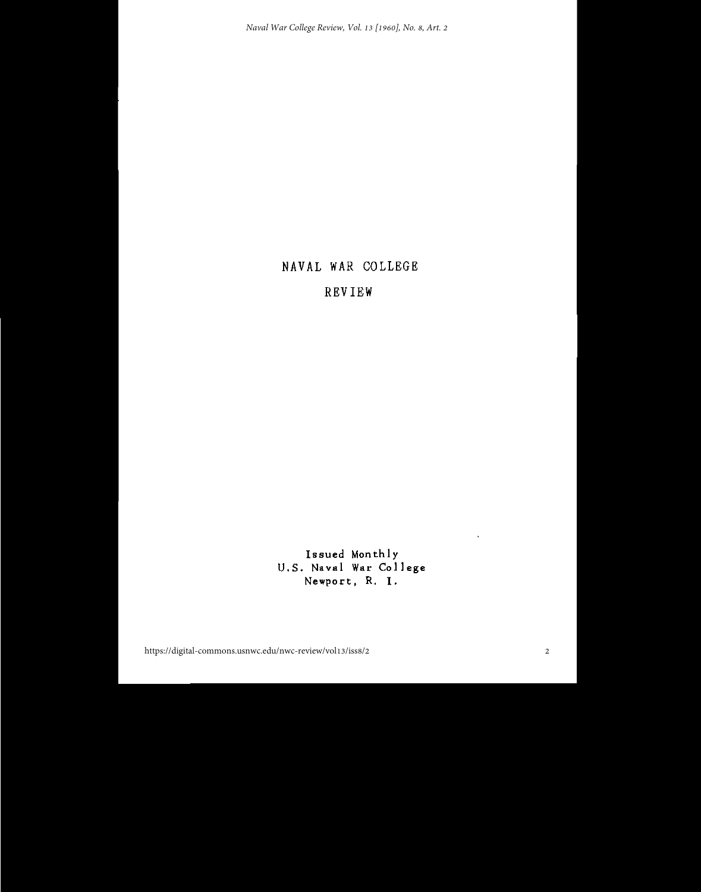# NAVAL WAR COLLEGE

## REVIEW

Issued Monthly U.S. Naval War College Newport, R. I.

 $\lambda$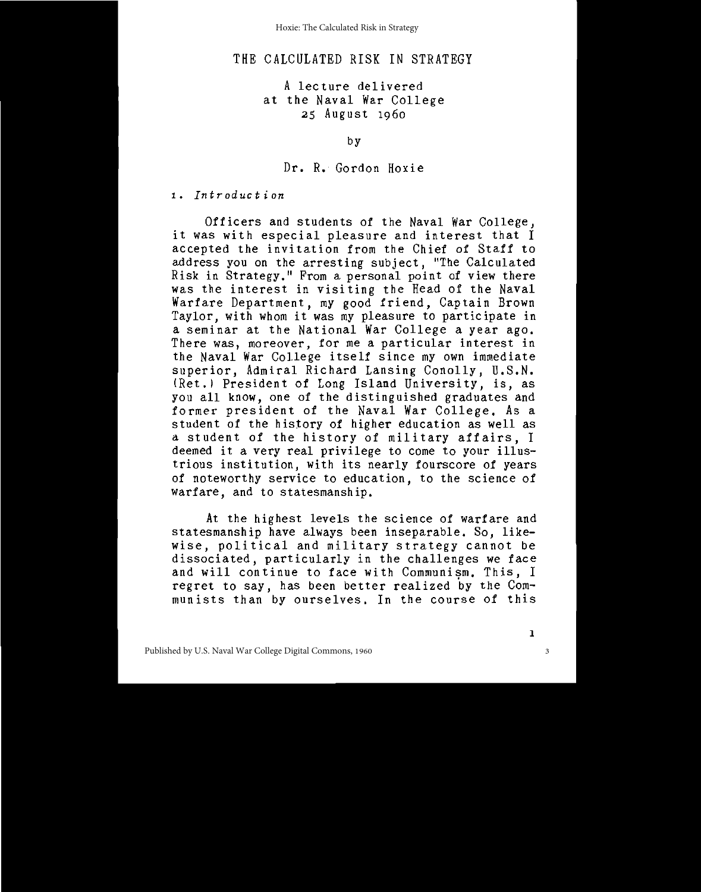# THE CALCULATED RISK IN STRATEGY

#### A lecture delivered at the Naval War College 25 August 1960

by

#### Dr. R. Gordon Hoxie

1. Introduction

Officers and students of the Naval War College, it was with especial pleasure and interest that I accepted the invitation from the Chief of Staff to address you on the arresting subject. "The Calculated Risk in Strategy." From a personal point of view there<br>was the interest in visiting the Head of the Naval Warfare Department, my good friend, Captain Brown Taylor, with whom it was my pleasure to participate in a seminar at the National War College a year ago. There was, moreover, for me a particular interest in the Naval War College itself since my own immediate superior, Admiral Richard Lansing Conolly, U.S.N. (Ret.) President of Long Island University, is, as you all know, one of the distinguished graduates and former president of the Naval War College. As a student of the history of higher education as well as a student of the history of military affairs, I deemed it a very real privilege to come to your illustrious institution, with its nearly fourscore of years of noteworthy service to education, to the science of warfare, and to statesmanship.

At the highest levels the science of warfare and statesmanship have always been inseparable. So, likewise, political and military strategy cannot be dissociated, particularly in the challenges we face and will continue to face with Communism. This, I regret to say, has been better realized by the Communists than by ourselves. In the course of this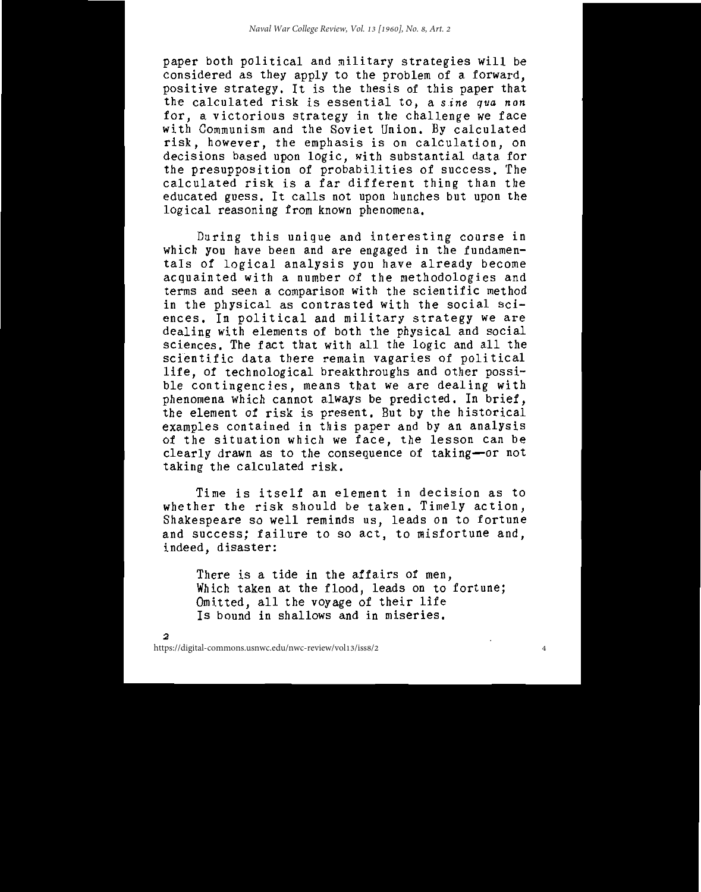paper both political and military strategies will be considered as they apply to the problem of a forward, positive strategy. It is the thesis of this paper that the calculated risk is essential to, a sine qua non for, a victorious strategy in the challenge we face with Communism and the Soviet Union. By calculated risk, however, the emphasis is on calculation, on decisions based upon logic, with substantial data for the presupposition of probabilities of success. The calculated risk is a far different thing than the educated guess. It calls not upon hunches but upon the logical reasoning from known phenomena.

During this unique and interesting course in which you have been and are engaged in the fundamentals of logical analysis you have already become acquainted with a number of the methodologies and terms and seen a comparison with the scientific method in the physical as contrasted with the social sciences. In political and military strategy we are dealing with elements of both the physical and social sciences. The fact that with all the logic and all the scientific data there remain vagaries of political life, of technological breakthroughs and other possible contingencies, means that we are dealing with phenomena which cannot always be predicted. In brief,<br>the element of risk is present. But by the historical examples contained in this paper and by an analysis<br>of the situation which we face, the lesson can be clearly drawn as to the consequence of taking-or not taking the calculated risk.

Time is itself an element in decision as to whether the risk should be taken. Timely action, Shakespeare so well reminds us, leads on to fortune and success; failure to so act, to misfortune and, indeed, disaster:

There is a tide in the affairs of men, Which taken at the flood, leads on to fortune;<br>Omitted, all the voyage of their life Is bound in shallows and in miseries.

 $\overline{a}$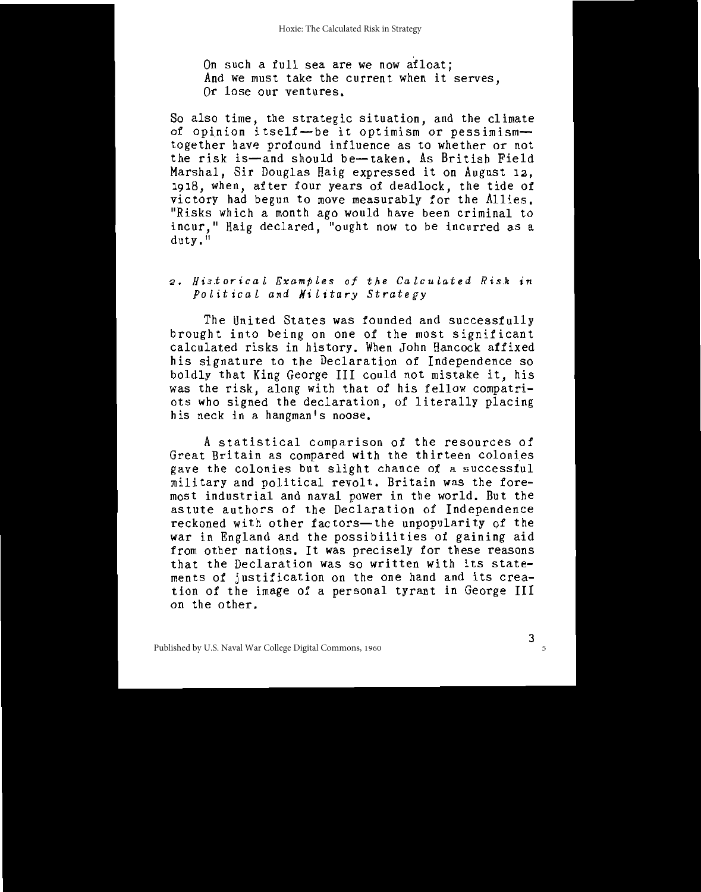On such a full sea are we now afloat; And we must take the current when it serves. Or lose our ventures.

So also time, the strategic situation, and the climate of opinion itself-be it optimism or pessimismtogether have profound influence as to whether or not the risk is-and should be-taken. As British Field Marshal, Sir Douglas Haig expressed it on August 12, 1918, when, after four years of deadlock, the tide of victory had begun to move measurably for the Allies. "Risks which a month ago would have been criminal to incur." Haig declared, "ought now to be incurred as a  $\frac{d$ utv.<sup>ii</sup>

# 2. Historical Examples of the Calculated Risk in Political and Military Strategy

The United States was founded and successfully brought into being on one of the most significant calculated risks in history. When John Hancock affixed his signature to the Declaration of Independence so boldly that King George III could not mistake it, his was the risk, along with that of his fellow compatriots who signed the declaration, of literally placing his neck in a hangman's noose.

A statistical comparison of the resources of Great Britain as compared with the thirteen colonies gave the colonies but slight chance of a successful military and political revolt. Britain was the foremost industrial and naval power in the world. But the astute authors of the Declaration of Independence reckoned with other factors-the unpopularity of the war in England and the possibilities of gaining aid from other nations. It was precisely for these reasons that the Declaration was so written with its statements of justification on the one hand and its creation of the image of a personal tyrant in George III on the other.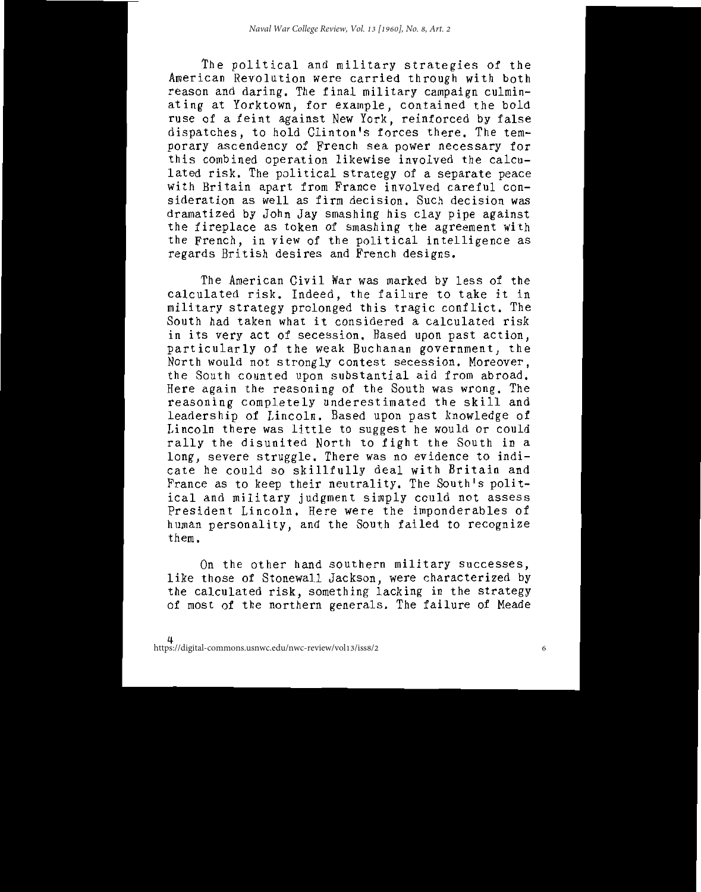The political and military strategies of the American Revolution were carried through with both reason and daring. The final military campaign culminating at Yorktown, for example, contained the bold<br>ruse of a feint against New York, reinforced by false dispatches, to hold Clinton's forces there. The temporary ascendency of French sea power necessary for this combined operation likewise involved the calculated risk. The political strategy of a separate peace with Britain apart from France involved careful consideration as well as firm decision. Such decision was dramatized by John Jay smashing his clay pipe against the fireplace as token of smashing the agreement with the French, in view of the political intelligence as regards British desires and French designs.

The American Civil War was marked by less of the calculated risk. Indeed, the failure to take it in military strategy prolonged this tragic conflict. The South had taken what it considered a calculated risk in its very act of secession. Based upon past action. particularly of the weak Buchanan government, the North would not strongly contest secession. Moreover, the South counted upon substantial aid from abroad. Here again the reasoning of the South was wrong. The reasoning completely underestimated the skill and leadership of Lincoln. Based upon past knowledge of Lincoln there was little to suggest he would or could rally the disunited North to fight the South in a long, severe struggle. There was no evidence to indicate he could so skillfully deal with Britain and France as to keep their neutrality. The South's political and military judgment simply could not assess President Lincoln, Here were the imponderables of human personality, and the South failed to recognize them.

On the other hand southern military successes, like those of Stonewall Jackson, were characterized by the calculated risk, something lacking in the strategy of most of the northern generals. The failure of Meade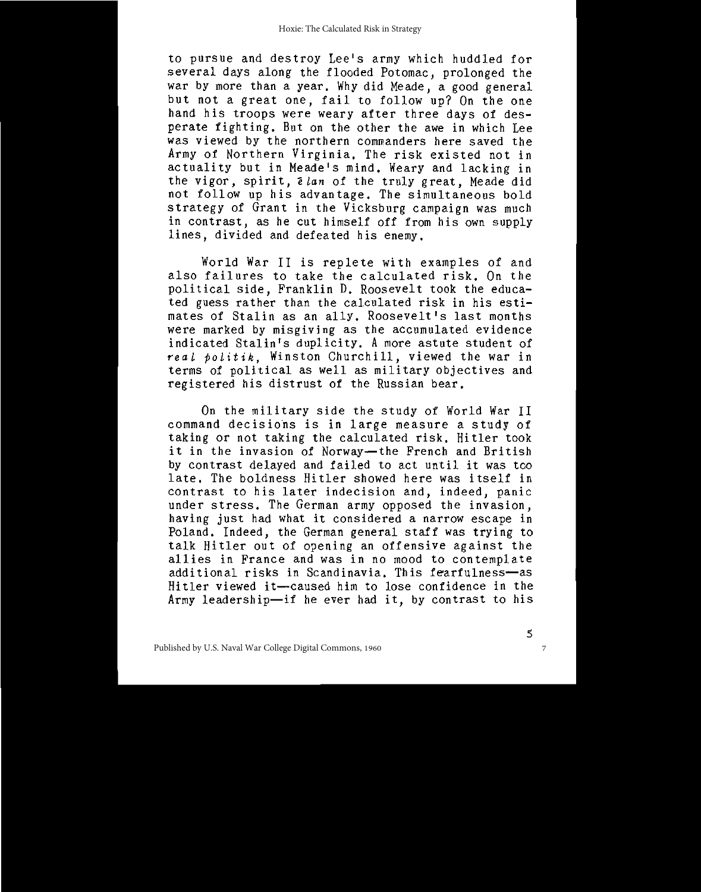to pursue and destroy Lee's army which huddled for several days along the flooded Potomac, prolonged the war by more than a year. Why did Meade, a good general but not a great one, fail to follow up? On the one hand his troops were weary after three days of desperate fighting. But on the other the awe in which Lee was viewed by the northern commanders here saved the Army of Northern Virginia. The risk existed not in actuality but in Meade's mind. Weary and lacking in the vigor, spirit, *i lan* of the truly great. Meade did not follow up his advantage. The simultaneous bold strategy of Grant in the Vicksburg campaign was much in contrast, as he cut himself off from his own supply lines, divided and defeated his enemy.

World War II is replete with examples of and also failures to take the calculated risk. On the political side, Franklin D. Roosevelt took the educated guess rather than the calculated risk in his estimates of Stalin as an ally. Roosevelt's last months were marked by misgiving as the accumulated evidence indicated Stalin's duplicity. A more astute student of real politik, Winston Churchill, viewed the war in<br>terms of political as well as military objectives and registered his distrust of the Russian bear.

On the military side the study of World War II command decisions is in large measure a study of taking or not taking the calculated risk. Hitler took it in the invasion of Norway-the French and British by contrast delayed and failed to act until it was too late. The boldness Hitler showed here was itself in contrast to his later indecision and, indeed, panic under stress. The German army opposed the invasion. having just had what it considered a narrow escape in Poland. Indeed, the German general staff was trying to talk Hitler out of opening an offensive against the allies in France and was in no mood to contemplate additional risks in Scandinavia. This fearfulness-as Hitler viewed it-caused him to lose confidence in the Army leadership-if he ever had it, by contrast to his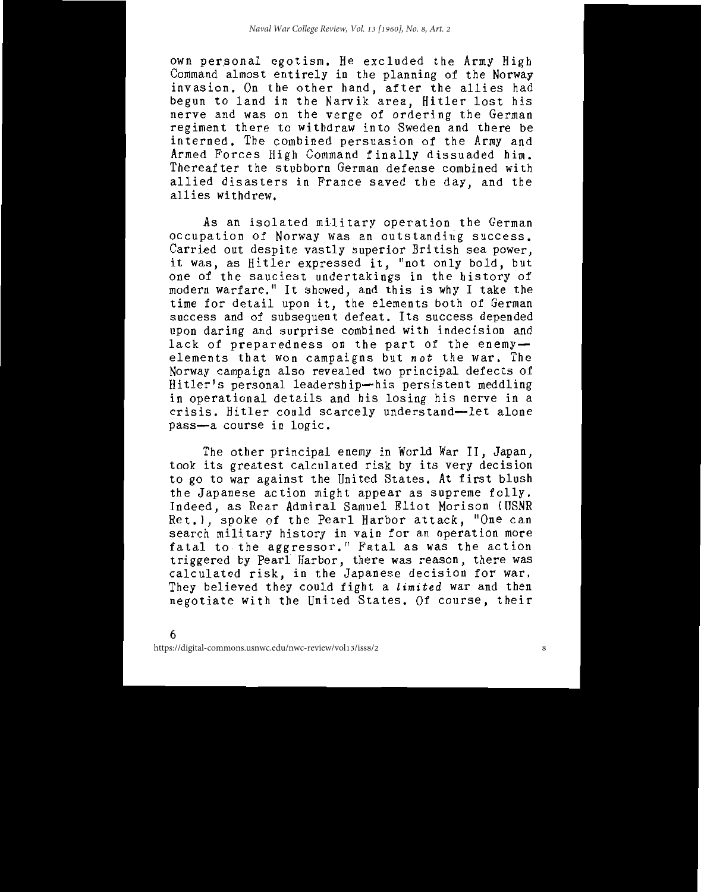own personal egotism. He excluded the Army High Command almost entirely in the planning of the Norway invasion. On the other hand, after the allies had begun to land in the Narvik area, Hitler lost his nerve and was on the verge of ordering the German regiment there to withdraw into Sweden and there be interned. The combined persuasion of the Army and Armed Forces High Command finally dissuaded him. Thereafter the stubborn German defense combined with allied disasters in France saved the day, and the allies withdrew.

As an isolated military operation the German occupation of Norway was an outstanding success. Carried out despite vastly superior British sea power, it was, as Hitler expressed it, "not only bold, but one of the sauciest undertakings in the history of modern warfare." It showed, and this is why I take the time for detail upon it, the elements both of German success and of subsequent defeat. Its success depended upon daring and surprise combined with indecision and lack of preparedness on the part of the enemyelements that won campaigns but not the war. The Norway campaign also revealed two principal defects of Hitler's personal leadership-his persistent meddling in operational details and his losing his nerve in a crisis. Hitler could scarcely understand-let alone pass-a course in logic.

The other principal enemy in World War II, Japan, took its greatest calculated risk by its very decision to go to war against the United States. At first blush the Japanese action might appear as supreme folly. Indeed, as Rear Admiral Samuel Eliot Morison (USNR Ret.), spoke of the Pearl Harbor attack, "One can search military history in vain for an operation more fatal to the aggressor." Fatal as was the action<br>triggered by Pearl Harbor, there was reason, there was calculated risk, in the Japanese decision for war. They believed they could fight a limited war and then negotiate with the United States. Of course, their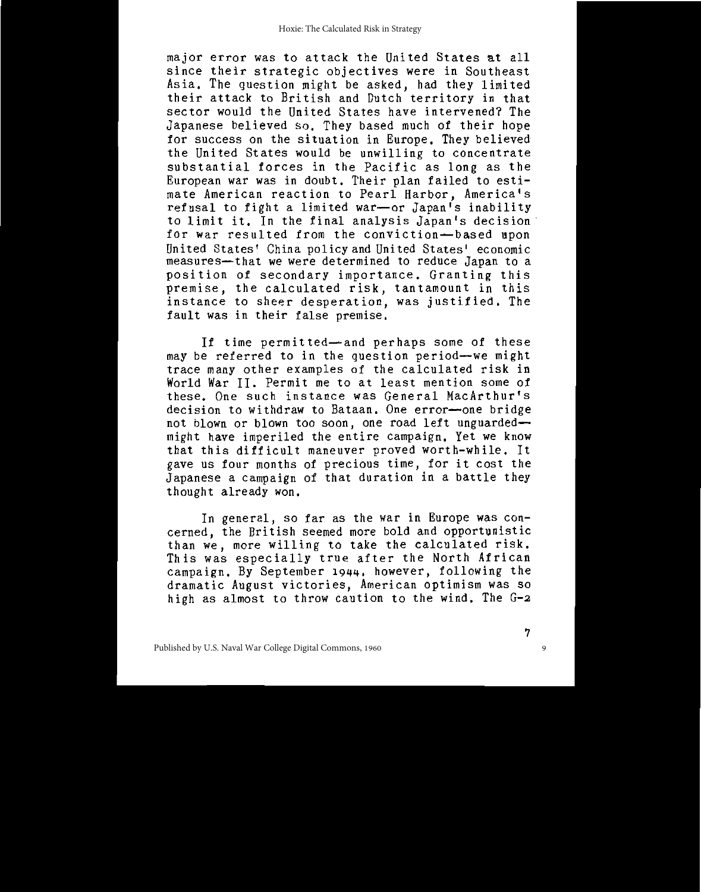major error was to attack the United States at all since their strategic objectives were in Southeast Asia. The question might be asked, had they limited<br>their attack to British and Dutch territory in that sector would the United States have intervened? The Japanese believed so. They based much of their hope for success on the situation in Europe. They believed the United States would be unwilling to concentrate substantial forces in the Pacific as long as the European war was in doubt. Their plan failed to estimate American reaction to Pearl Harbor, America's refusal to fight a limited war-or Japan's inability to limit it. In the final analysis Japan's decision for war resulted from the conviction-based upon United States' China policy and United States' economic measures—that we were determined to reduce Japan to a position of secondary importance. Granting this premise, the calculated risk, tantamount in this instance to sheer desperation, was justified. The fault was in their false premise.

If time permitted-and perhaps some of these may be referred to in the question period-we might trace many other examples of the calculated risk in World War II. Permit me to at least mention some of these. One such instance was General MacArthur's decision to withdraw to Bataan. One error-one bridge not blown or blown too soon, one road left unguardedmight have imperiled the entire campaign. Yet we know that this difficult maneuver proved worth-while. It gave us four months of precious time, for it cost the Japanese a campaign of that duration in a battle they thought already won.

In general, so far as the war in Europe was concerned, the British seemed more bold and opportunistic than we, more willing to take the calculated risk. This was especially true after the North African campaign. By September 1944, however, following the dramatic August victories, American optimism was so high as almost to throw caution to the wind. The G-2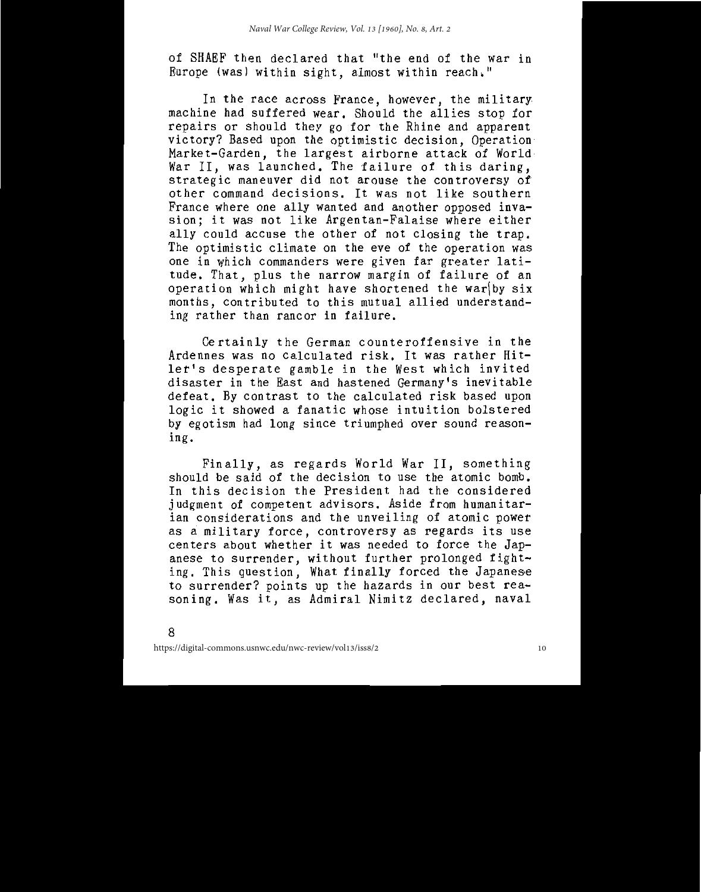of SHAEF then declared that "the end of the war in Europe (was) within sight, almost within reach."

In the race across France, however, the military machine had suffered wear. Should the allies stop for repairs or should they go for the Rhine and apparent victory? Based upon the optimistic decision, Operation Market-Garden, the largest airborne attack of World War II, was launched. The failure of this daring,<br>strategic maneuver did not arouse the controversy of other command decisions. It was not like southern France where one ally wanted and another opposed invasion; it was not like Argentan-Falaise where either ally could accuse the other of not closing the trap. The optimistic climate on the eve of the operation was one in which commanders were given far greater latitude. That, plus the narrow margin of failure of an operation which might have shortened the war by six months, contributed to this mutual allied understanding rather than rancor in failure.

Certainly the German counteroffensive in the Ardennes was no calculated risk. It was rather Hitler's desperate gamble in the West which invited disaster in the East and hastened Germany's inevitable defeat. By contrast to the calculated risk based upon logic it showed a fanatic whose intuition bolstered by egotism had long since triumphed over sound reasoning.

Finally, as regards World War II, something should be said of the decision to use the atomic bomb. In this decision the President had the considered judgment of competent advisors. Aside from humanitarian considerations and the unveiling of atomic power as a military force, controversy as regards its use centers about whether it was needed to force the Japanese to surrender, without further prolonged fighting. This question, What finally forced the Japanese to surrender? points up the hazards in our best reasoning. Was it, as Admiral Nimitz declared, naval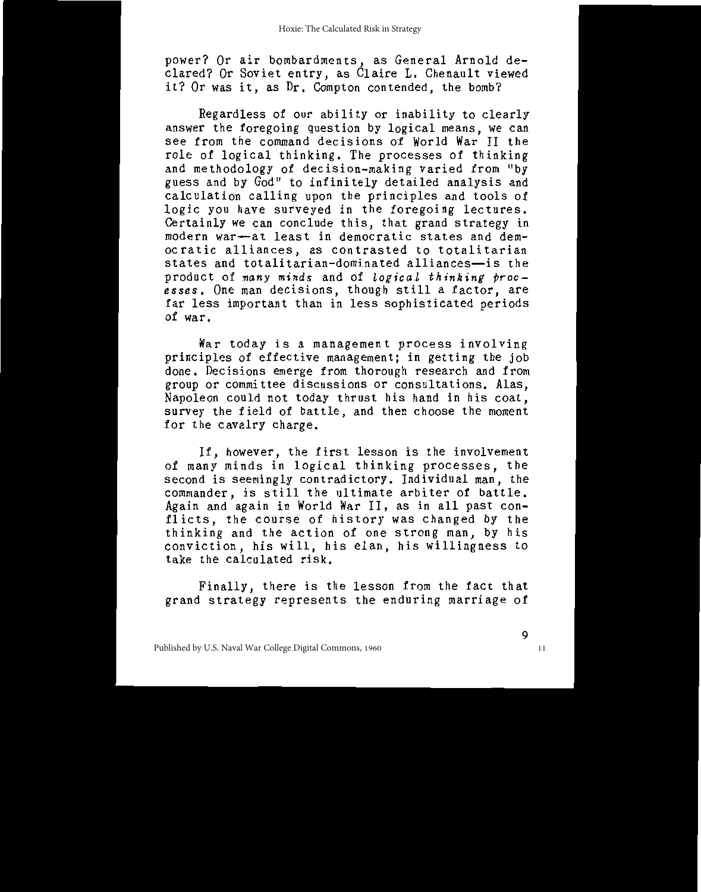power? Or air bombardments, as General Arnold de-<br>clared? Or Soviet entry, as Claire L. Chenault viewed it? Or was it, as Dr. Compton contended, the bomb?

Regardless of our ability or inability to clearly answer the foregoing question by logical means, we can see from the command decisions of World War II the role of logical thinking. The processes of thinking and methodology of decision-making varied from "by guess and by God" to infinitely detailed analysis and calculation calling upon the principles and tools of logic you have surveyed in the foregoing lectures. Certainly we can conclude this, that grand strategy in modern war-at least in democratic states and democratic alliances, as contrasted to totalitarian states and totalitarian-dominated alliances-is the product of many minds and of logical thinking proc-<br>esses. One man decisions, though still a factor, are far less important than in less sophisticated periods of war.

War today is a management process involving principles of effective management; in getting the job done. Decisions emerge from thorough research and from group or committee discussions or consultations. Alas. Napoleon could not today thrust his hand in his coat, survey the field of battle, and then choose the moment for the cavalry charge.

If, however, the first lesson is the involvement of many minds in logical thinking processes, the second is seemingly contradictory. Individual man, the commander, is still the ultimate arbiter of battle. Again and again in World War II, as in all past conflicts, the course of history was changed by the thinking and the action of one strong man, by his conviction, his will, his elan, his willingness to<br>take the calculated risk.

Finally, there is the lesson from the fact that grand strategy represents the enduring marriage of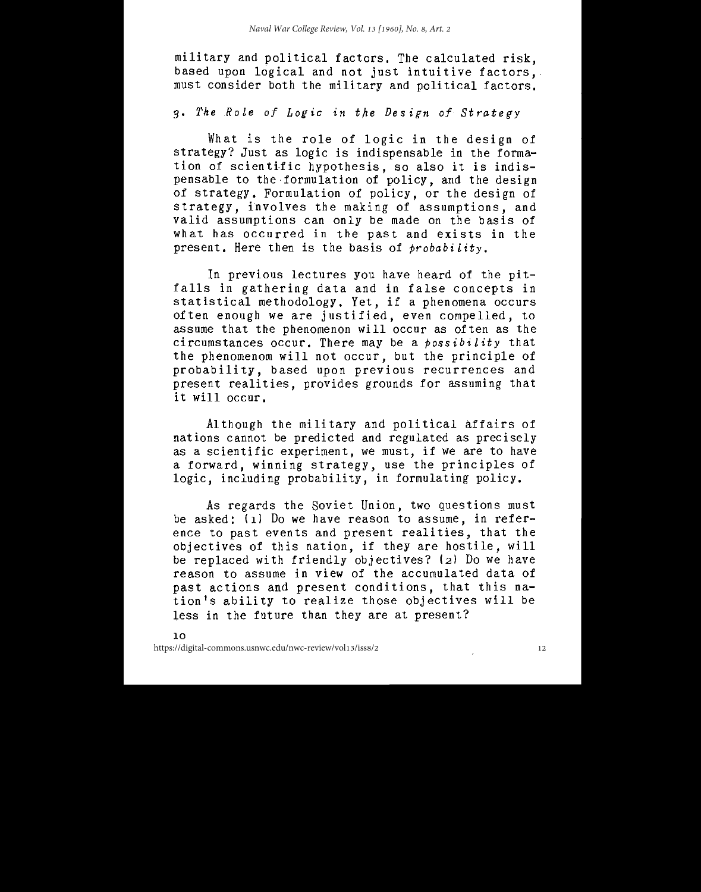military and political factors. The calculated risk, based upon logical and not just intuitive factors. must consider both the military and political factors.

#### 3. The Role of Logic in the Design of Strategy

What is the role of logic in the design of strategy? Just as logic is indispensable in the formation of scientific hypothesis, so also it is indispensable to the formulation of policy, and the design of strategy. Formulation of policy, or the design of strategy, involves the making of assumptions, and valid assumptions can only be made on the basis of what has occurred in the past and exists in the present. Here then is the basis of probability.

In previous lectures you have heard of the pitfalls in gathering data and in false concepts in statistical methodology. Yet, if a phenomena occurs often enough we are justified, even compelled, to assume that the phenomenon will occur as often as the circumstances occur. There may be a  $\hat{p}$ ossibility that the phenomenom will not occur, but the principle of probability, based upon previous recurrences and present realities, provides grounds for assuming that it will occur.

Although the military and political affairs of nations cannot be predicted and regulated as precisely as a scientific experiment, we must, if we are to have a forward, winning strategy, use the principles of logic, including probability, in formulating policy.

As regards the Soviet Union, two questions must be asked: (1) Do we have reason to assume, in reference to past events and present realities, that the objectives of this nation, if they are hostile, will be replaced with friendly objectives? (2) Do we have reason to assume in view of the accumulated data of past actions and present conditions, that this nation's ability to realize those objectives will be less in the future than they are at present?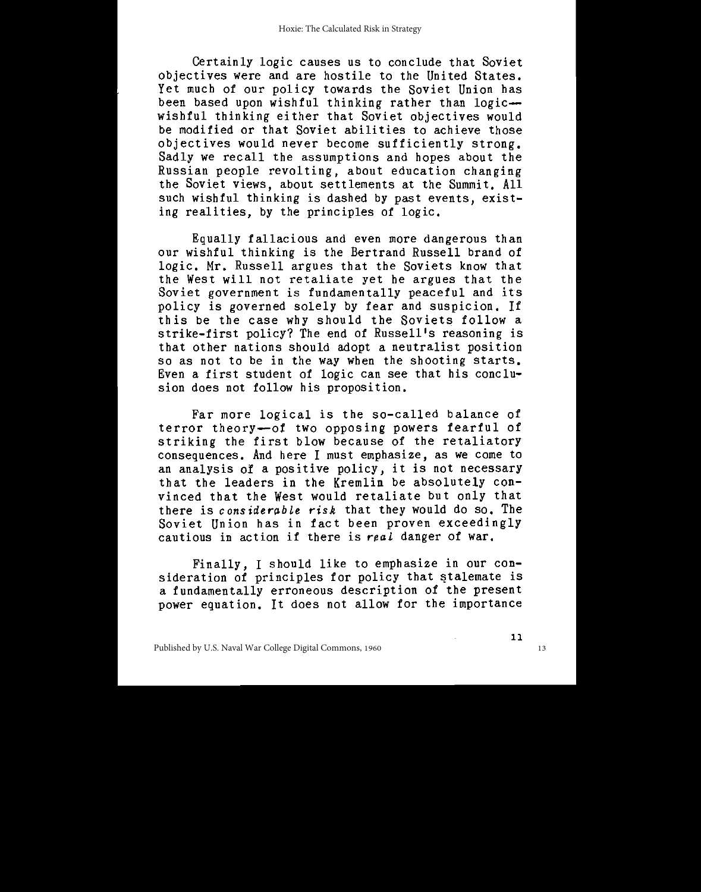Certainly logic causes us to conclude that Soviet objectives were and are hostile to the United States. Yet much of our policy towards the Soviet Union has been based upon wishful thinking rather than logicwishful thinking either that Soviet objectives would be modified or that Soviet abilities to achieve those objectives would never become sufficiently strong. Sadly we recall the assumptions and hopes about the Russian people revolting, about education changing the Soviet views, about settlements at the Summit. All<br>such wishful thinking is dashed by past events, existing realities, by the principles of logic.

Equally fallacious and even more dangerous than our wishful thinking is the Bertrand Russell brand of logic. Mr. Russell argues that the Soviets know that the West will not retaliate yet he argues that the Soviet government is fundamentally peaceful and its policy is governed solely by fear and suspicion. If this be the case why should the Soviets follow a strike-first policy? The end of Russell's reasoning is that other nations should adopt a neutralist position so as not to be in the way when the shooting starts. Even a first student of logic can see that his conclusion does not follow his proposition.

Far more logical is the so-called balance of terror theory-of two opposing powers fearful of<br>striking the first blow because of the retaliatory consequences. And here I must emphasize, as we come to an analysis of a positive policy, it is not necessary that the leaders in the Kremlin be absolutely convinced that the West would retaliate but only that there is considerable risk that they would do so. The Soviet Union has in fact been proven exceedingly cautious in action if there is real danger of war.

Finally, I should like to emphasize in our consideration of principles for policy that stalemate is a fundamentally erroneous description of the present power equation. It does not allow for the importance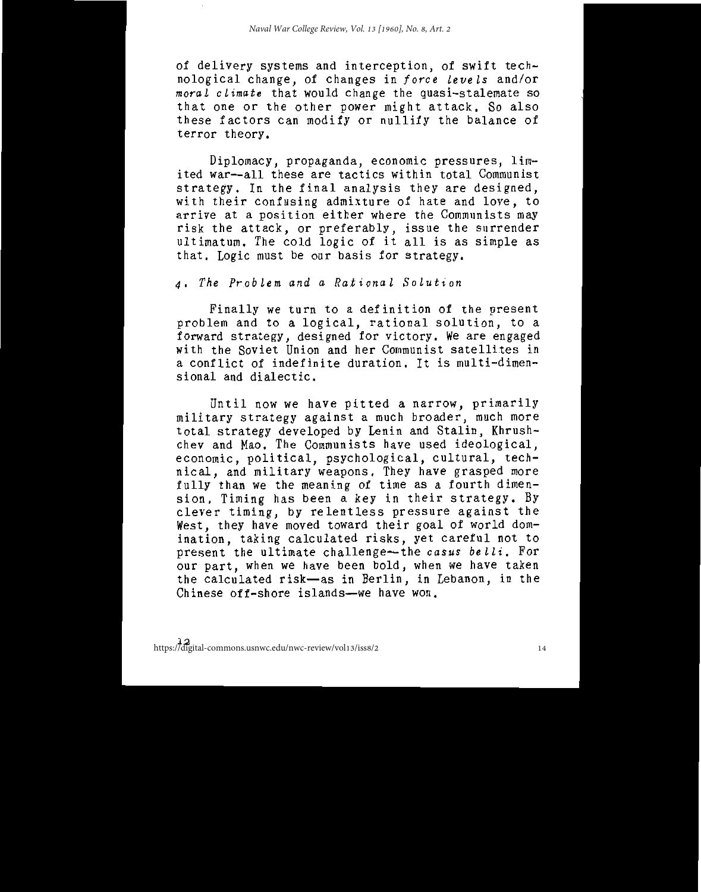of delivery systems and interception, of swift technological change, of changes in force levels and/or moral climate that would change the quasi-stalemate so that one or the other power might attack. So also these factors can modify or nullify the balance of terror theory.

Diplomacy, propaganda, economic pressures, limited war-all these are tactics within total Communist strategy. In the final analysis they are designed, with their confusing admixture of hate and love, to arrive at a position either where the Communists may risk the attack, or preferably, issue the surrender<br>ultimatum. The cold logic of it all is as simple as that. Logic must be our basis for strategy.

4. The Problem and a Rational Solution

Finally we turn to a definition of the present problem and to a logical, rational solution, to a<br>forward strategy, designed for victory. We are engaged<br>with the Soviet Union and her Communist satellites in a conflict of indefinite duration. It is multi-dimensional and dialectic.

Until now we have pitted a narrow, primarily military strategy against a much broader, much more total strategy developed by Lenin and Stalin, Khrushchev and Mao. The Communists have used ideological, economic, political, psychological, cultural, technical, and military weapons. They have grasped more<br>fully than we the meaning of time as a fourth dimension. Timing has been a key in their strategy. By clever timing, by relentless pressure against the West, they have moved toward their goal of world domination, taking calculated risks, yet careful not to present the ultimate challenge—the casus belli. For our part, when we have been bold, when we have taken the calculated risk-as in Berlin, in Lebanon, in the Chinese off-shore islands-we have won.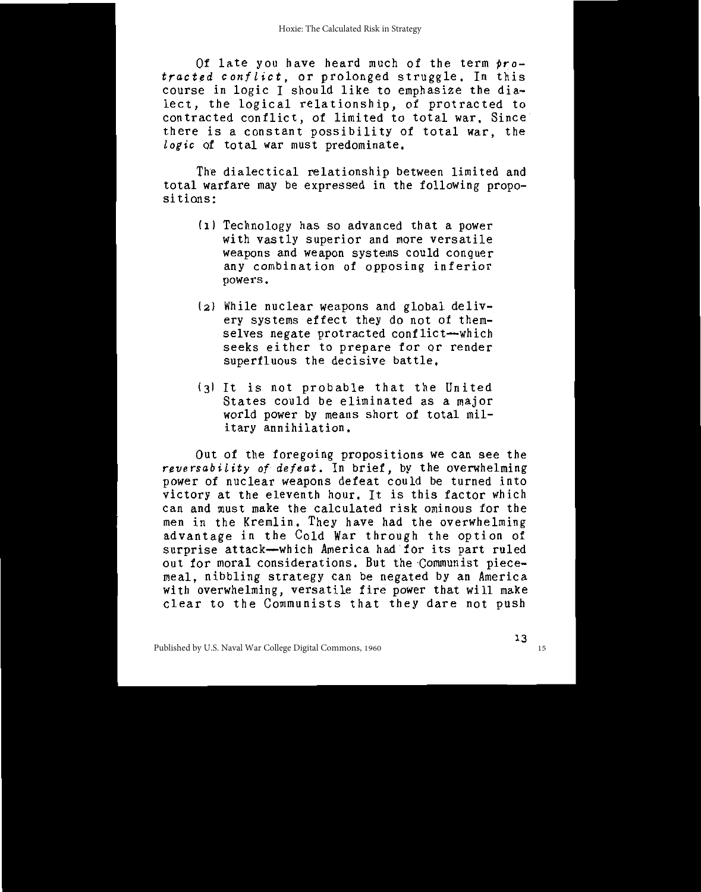Of late you have heard much of the term protracted conflict, or prolonged struggle. In this course in logic I should like to emphasize the dialect, the logical relationship, of protracted to contracted conflict, of limited to total war, Since there is a constant possibility of total war, the logic of total war must predominate.

The dialectical relationship between limited and total warfare may be expressed in the following propositions:

- (1) Technology has so advanced that a power with vastly superior and more versatile weapons and weapon systems could conquer any combination of opposing inferior powers.
- (2) While nuclear weapons and global delivery systems effect they do not of themselves negate protracted conflict-which seeks either to prepare for or render superfluous the decisive battle.
- (3) It is not probable that the United States could be eliminated as a major world power by means short of total military annihilation.

Out of the foregoing propositions we can see the reversability of defeat. In brief, by the overwhelming power of nuclear weapons defeat could be turned into<br>victory at the eleventh hour. It is this factor which can and must make the calculated risk ominous for the<br>men in the Kremlin. They have had the overwhelming advantage in the Cold War through the option of surprise attack-which America had for its part ruled out for moral considerations. But the Communist piecemeal, nibbling strategy can be negated by an America with overwhelming, versatile fire power that will make clear to the Communists that they dare not push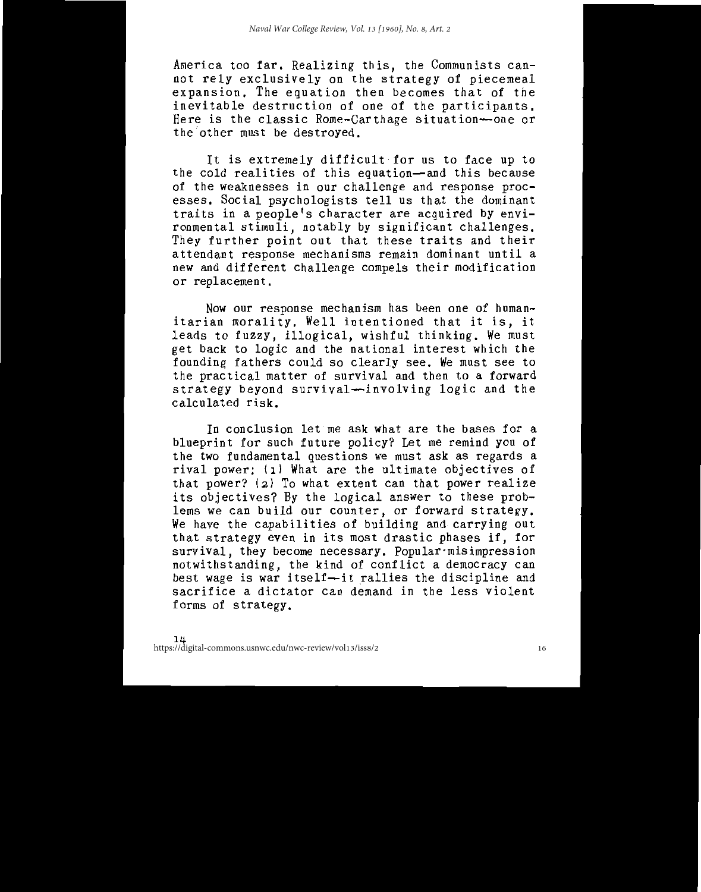America too far. Realizing this, the Communists cannot rely exclusively on the strategy of piecemeal expansion. The equation then becomes that of the inevitable destruction of one of the participants. Here is the classic Rome-Carthage situation-one or the other must be destroved.

It is extremely difficult for us to face up to the cold realities of this equation-and this because of the weaknesses in our challenge and response processes. Social psychologists tell us that the dominant traits in a people's character are acquired by environmental stimuli, notably by significant challenges. They further point out that these traits and their attendant response mechanisms remain dominant until a new and different challenge compels their modification or replacement.

Now our response mechanism has been one of humanitarian morality. Well intentioned that it is, it leads to fuzzy, illogical, wishful thinking. We must get back to logic and the national interest which the founding fathers could so clearly see. We must see to the practical matter of survival and then to a forward strategy beyond survival-involving logic and the calculated risk.

In conclusion let me ask what are the bases for a blueprint for such future policy? Let me remind you of the two fundamental questions we must ask as regards a rival power: (1) What are the ultimate objectives of that power? (2) To what extent can that power realize its objectives? By the logical answer to these problems we can build our counter, or forward strategy. We have the capabilities of building and carrying out that strategy even in its most drastic phases if, for survival, they become necessary. Popular misimpression notwithstanding, the kind of conflict a democracy can<br>best wage is war itself-it rallies the discipline and sacrifice a dictator can demand in the less violent forms of strategy.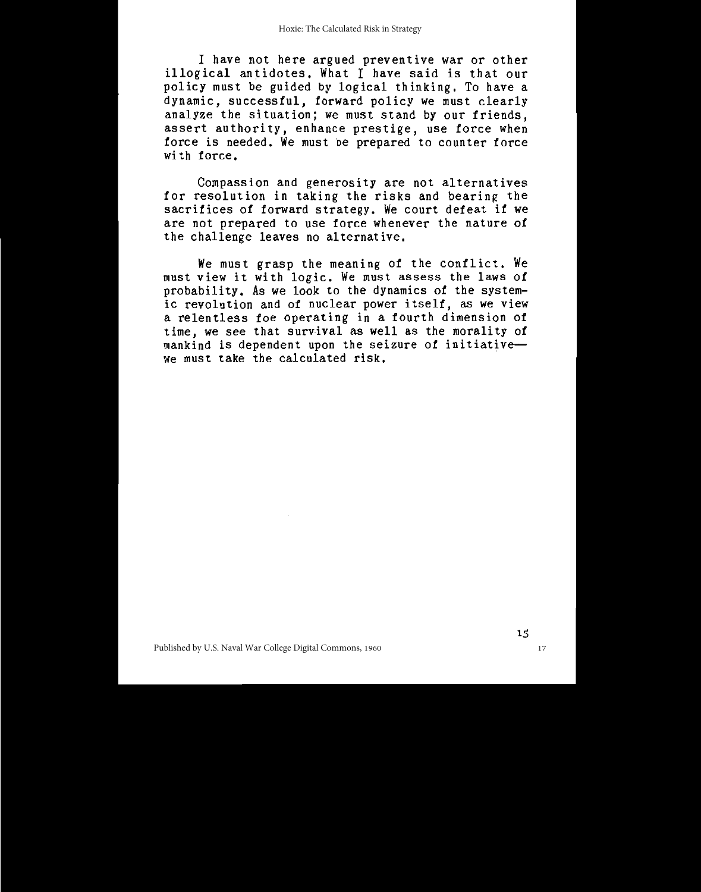I have not here argued preventive war or other illogical antidotes. What I have said is that our policy must be guided by logical thinking. To have a dynamic, successful, forward policy we must clearly analyze the situation; we must stand by our friends. assert authority, enhance prestige, use force when force is needed. We must be prepared to counter force with force.

Compassion and generosity are not alternatives for resolution in taking the risks and bearing the sacrifices of forward strategy. We court defeat if we are not prepared to use force whenever the nature of the challenge leaves no alternative.

We must grasp the meaning of the conflict. We must view it with logic. We must assess the laws of probability. As we look to the dynamics of the systemic revolution and of nuclear power itself, as we view a relentless foe operating in a fourth dimension of time, we see that survival as well as the morality of mankind is dependent upon the seizure of initiativewe must take the calculated risk.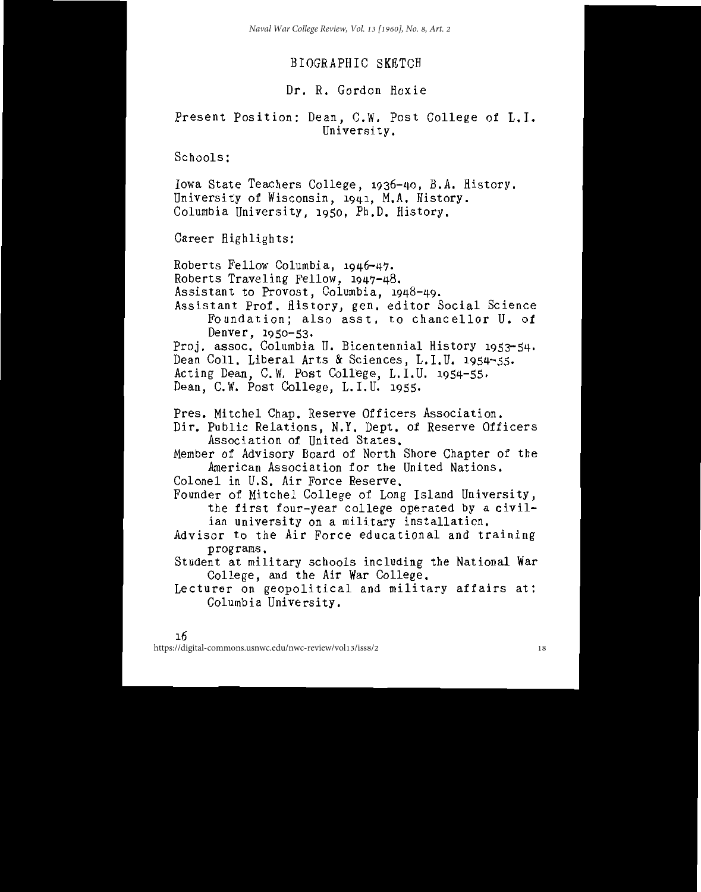# BIOGRAPHIC SKETCH

# Dr. R. Gordon Hoxie

# Present Position: Dean, C.W. Post College of L.I. University.

Schools:

Iowa State Teachers College, 1936-40, B.A. History. University of Wisconsin, 1941, M.A. History. Columbia University, 1950, Ph.D. History.

Career Highlights:

Roberts Fellow Columbia, 1946-47. Roberts Traveling Fellow, 1947-48. Assistant to Provost, Columbia, 1948-49. Assistant Prof. History, gen. editor Social Science Foundation: also asst, to chancellor U. of Denver, 1950-53. Proj. assoc. Columbia U. Bicentennial History 1953-54. Dean Coll, Liberal Arts & Sciences, L.I.U. 1954-55. Acting Dean, C.W. Post College, L.I.U. 1954-55. Dean, C.W. Post College, L.I.U. 1955. Pres. Mitchel Chap. Reserve Officers Association. Dir. Public Relations, N.Y. Dept. of Reserve Officers Association of United States. Member of Advisory Board of North Shore Chapter of the American Association for the United Nations. Colonel in U.S. Air Force Reserve. Founder of Mitchel College of Long Island University, the first four-year college operated by a civilian university on a military installation. Advisor to the Air Force educational and training programs. Student at military schools including the National War College, and the Air War College.

Lecturer on geopolitical and military affairs at: Columbia University.